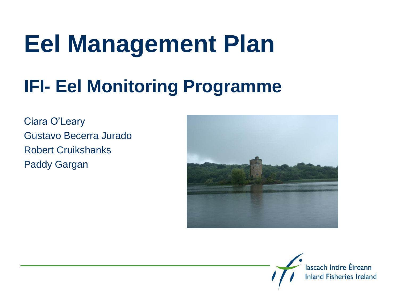## **Eel Management Plan**

#### **IFI- Eel Monitoring Programme**

Ciara O'Leary Gustavo Becerra Jurado Robert Cruikshanks Paddy Gargan



lascach Intíre Éireann **Inland Fisheries Ireland**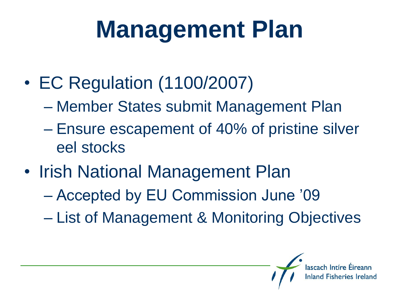# **Management Plan**

- EC Regulation (1100/2007)
	- Member States submit Management Plan
	- Ensure escapement of 40% of pristine silver eel stocks
- Irish National Management Plan
	- Accepted by EU Commission June '09
	- List of Management & Monitoring Objectives

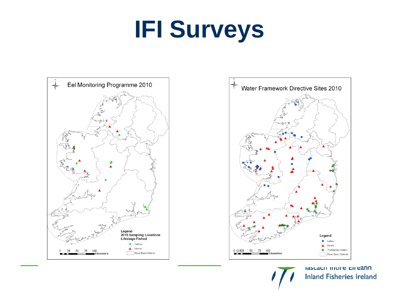# **IFI Surveys**





idocacii ilitii e cireann **Inland Fisheries Ireland**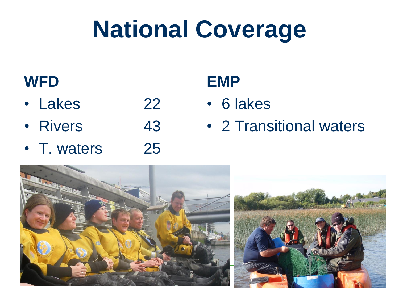# **National Coverage**

#### **WFD**

- Lakes 22
- Rivers 43
- T. waters 25

#### **EMP**

- 6 lakes
- 2 Transitional waters

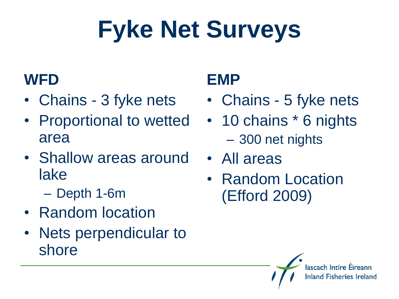# **Fyke Net Surveys**

#### **WFD**

- Chains 3 fyke nets
- Proportional to wetted area
- Shallow areas around lake
	- Depth 1-6m
- Random location
- Nets perpendicular to shore

#### **EMP**

- Chains 5 fyke nets
- 10 chains  $*$  6 nights – 300 net nights
- All areas
- Random Location (Efford 2009)

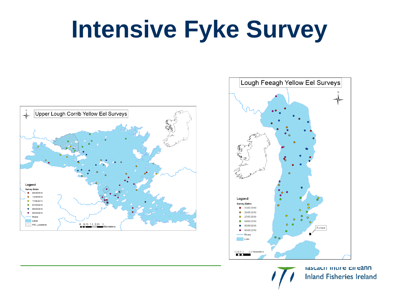## **Intensive Fyke Survey**





rascacii inui e cireann **Inland Fisheries Ireland**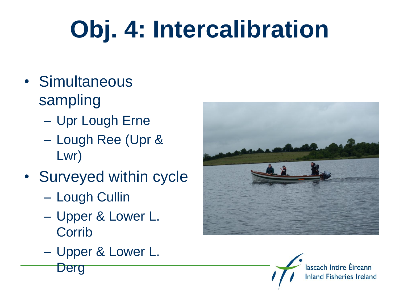# **Obj. 4: Intercalibration**

- Simultaneous sampling
	- Upr Lough Erne
	- Lough Ree (Upr & Lwr)
- Surveyed within cycle
	- Lough Cullin
	- Upper & Lower L. **Corrib**
	- Upper & Lower L.





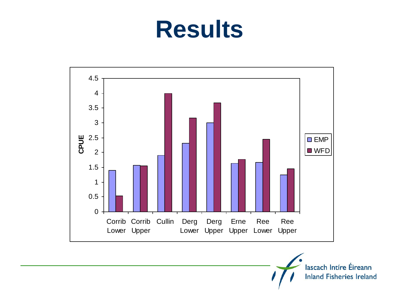### **Results**



lascach Intíre Éireann **Inland Fisheries Ireland**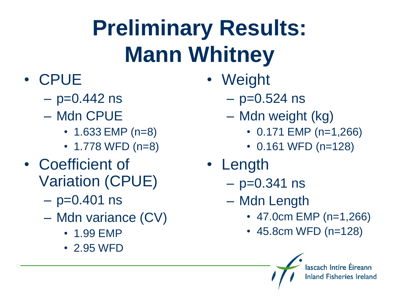## **Preliminary Results: Mann Whitney**

- CPUE
	- $-$  p=0.442 ns
	- Mdn CPUE
		- 1.633 EMP (n=8)
		- 1.778 WFD (n=8)
- Coefficient of Variation (CPUE)
	- $-$  p=0.401 ns
	- Mdn variance (CV)
		- 1.99 EMP
		- 2.95 WFD
- Weight
	- $-$  p=0.524 ns
	- Mdn weight (kg)
		- 0.171 EMP (n=1,266)
		- 0.161 WFD (n=128)
- Length
	- $-$  p=0.341 ns
	- Mdn Length
		- 47.0cm EMP (n=1,266)

lascach Intíre Éireann **Inland Fisheries Ireland** 

• 45.8cm WFD (n=128)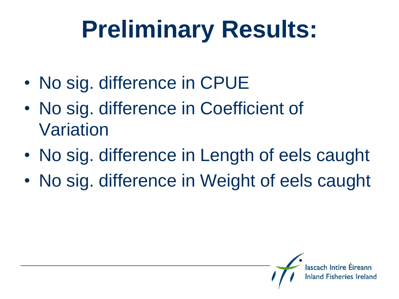# **Preliminary Results:**

- No sig. difference in CPUE
- No sig. difference in Coefficient of Variation
- No sig. difference in Length of eels caught
- No sig. difference in Weight of eels caught

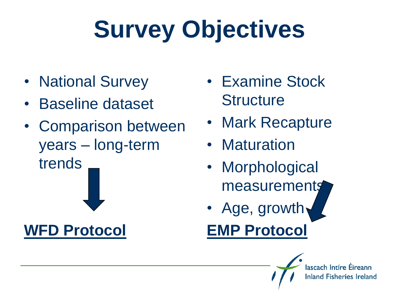# **Survey Objectives**

- National Survey
- Baseline dataset
- Comparison between years – long-term trends

**WFD Protocol**

- Examine Stock **Structure**
- Mark Recapture
- Maturation
- Morphological measurements
- Age, growth **EMP Protocol**

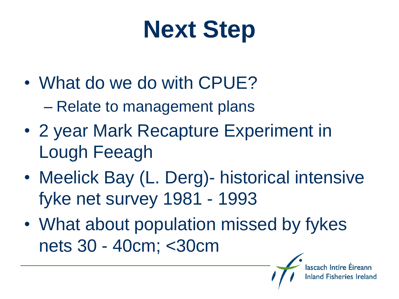# **Next Step**

- What do we do with CPUE? – Relate to management plans
- 2 year Mark Recapture Experiment in Lough Feeagh
- Meelick Bay (L. Derg) historical intensive fyke net survey 1981 - 1993
- What about population missed by fykes nets 30 - 40cm; <30cm